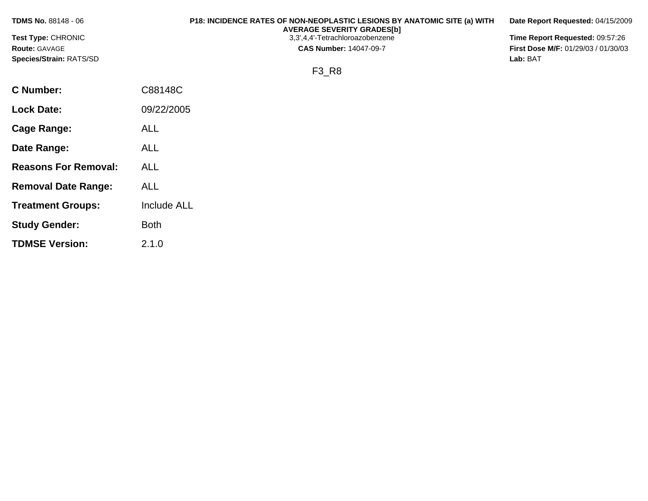| <b>TDMS No. 88148 - 06</b> | P18: INCIDENCE RATES OF NON-NEOPLASTIC LESIONS BY ANATOMIC SITE (a) WITH<br><b>AVERAGE SEVERITY GRADES[b]</b> | Date Report Requested: 04/15/2009   |
|----------------------------|---------------------------------------------------------------------------------------------------------------|-------------------------------------|
| Test Type: CHRONIC         | 3,3',4,4'-Tetrachloroazobenzene                                                                               | Time Report Requested: 09:57:26     |
| <b>Route: GAVAGE</b>       | <b>CAS Number: 14047-09-7</b>                                                                                 | First Dose M/F: 01/29/03 / 01/30/03 |
| Species/Strain: RATS/SD    |                                                                                                               | Lab: BAT                            |
|                            | F3 R8                                                                                                         |                                     |
| <b>C</b> Number:           | C88148C                                                                                                       |                                     |
| <b>Lock Date:</b>          | 09/22/2005                                                                                                    |                                     |
| Cage Range:                | <b>ALL</b>                                                                                                    |                                     |
| Date Range:                | <b>ALL</b>                                                                                                    |                                     |

**Reasons For Removal:** ALL

**Removal Date Range:** ALL

**Study Gender:** Both

**TDMSE Version:** 2.1.0

**Treatment Groups:** Include ALL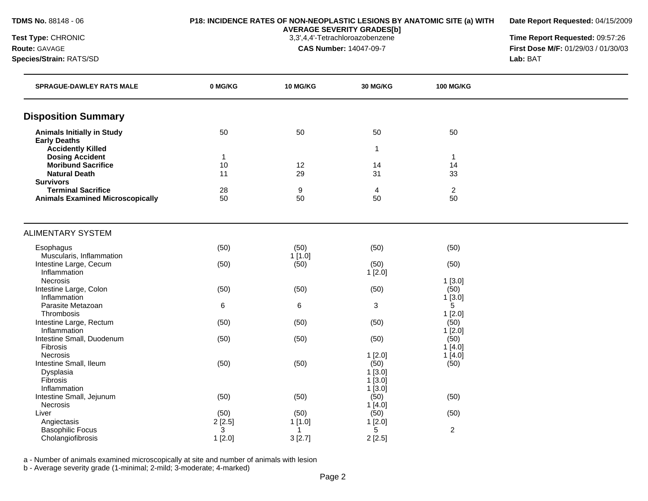**Date Report Requested:** 04/15/2009

**AVERAGE SEVERITY GRADES[b]**

**Test Type:** CHRONIC 3,3',4,4'-Tetrachloroazobenzene **Time Report Requested:** 09:57:26 **Route:** GAVAGE **CAS Number:** 14047-09-7 **First Dose M/F:** 01/29/03 / 01/30/03 **Species/Strain:** RATS/SD **Lab:** BAT

| <b>SPRAGUE-DAWLEY RATS MALE</b>               | 0 MG/KG      | 10 MG/KG | 30 MG/KG             | <b>100 MG/KG</b>     |  |
|-----------------------------------------------|--------------|----------|----------------------|----------------------|--|
| <b>Disposition Summary</b>                    |              |          |                      |                      |  |
| <b>Animals Initially in Study</b>             | 50           | 50       | 50                   | 50                   |  |
| <b>Early Deaths</b>                           |              |          |                      |                      |  |
| <b>Accidently Killed</b>                      |              |          | 1                    |                      |  |
| <b>Dosing Accident</b>                        | $\mathbf{1}$ |          |                      | $\mathbf{1}$         |  |
| <b>Moribund Sacrifice</b>                     | 10           | 12       | 14                   | 14                   |  |
| <b>Natural Death</b>                          | 11           | 29       | 31                   | 33                   |  |
| <b>Survivors</b><br><b>Terminal Sacrifice</b> |              |          |                      |                      |  |
| <b>Animals Examined Microscopically</b>       | 28<br>50     | 9<br>50  | $\overline{4}$<br>50 | $\overline{2}$<br>50 |  |
|                                               |              |          |                      |                      |  |
| <b>ALIMENTARY SYSTEM</b>                      |              |          |                      |                      |  |
| Esophagus                                     | (50)         | (50)     | (50)                 | (50)                 |  |
| Muscularis, Inflammation                      |              | 1[1.0]   |                      |                      |  |
| Intestine Large, Cecum                        | (50)         | (50)     | (50)                 | (50)                 |  |
| Inflammation                                  |              |          | 1[2.0]               |                      |  |
| Necrosis                                      |              |          |                      | 1[3.0]               |  |
| Intestine Large, Colon                        | (50)         | (50)     | (50)                 | (50)                 |  |
| Inflammation                                  |              |          |                      | 1[3.0]               |  |
| Parasite Metazoan                             | 6            | 6        | 3                    | 5                    |  |
| Thrombosis                                    |              |          |                      | 1[2.0]               |  |
| Intestine Large, Rectum                       | (50)         | (50)     | (50)                 | (50)                 |  |
| Inflammation                                  |              |          |                      | 1[2.0]               |  |
| Intestine Small, Duodenum                     | (50)         | (50)     | (50)                 | (50)                 |  |
| Fibrosis                                      |              |          |                      | 1[4.0]               |  |
| Necrosis                                      |              |          | 1[2.0]<br>(50)       | 1[4.0]               |  |
| Intestine Small, Ileum                        | (50)         | (50)     | $1$ [3.0]            | (50)                 |  |
| Dysplasia<br>Fibrosis                         |              |          | 1[3.0]               |                      |  |
| Inflammation                                  |              |          | 1[3.0]               |                      |  |
| Intestine Small, Jejunum                      | (50)         | (50)     | (50)                 | (50)                 |  |
| Necrosis                                      |              |          | 1[4.0]               |                      |  |
| Liver                                         | (50)         | (50)     | (50)                 | (50)                 |  |
| Angiectasis                                   | 2[2.5]       | 1[1.0]   | 1[2.0]               |                      |  |
| <b>Basophilic Focus</b>                       | 3            | -1       | 5                    | $\overline{c}$       |  |
| Cholangiofibrosis                             | 1[2.0]       | 3[2.7]   | 2[2.5]               |                      |  |

a - Number of animals examined microscopically at site and number of animals with lesion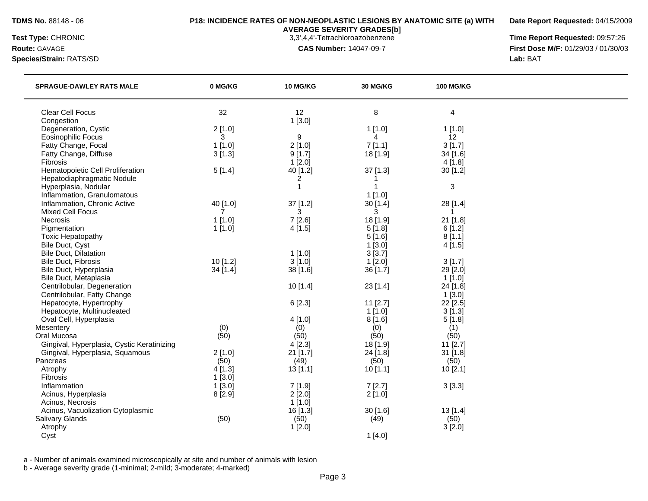**Date Report Requested:** 04/15/2009

**AVERAGE SEVERITY GRADES[b]**

**Species/Strain:** RATS/SD **Lab:** BAT

**Test Type:** CHRONIC 3,3',4,4'-Tetrachloroazobenzene **Time Report Requested:** 09:57:26 **Route:** GAVAGE **CAS Number:** 14047-09-7 **First Dose M/F:** 01/29/03 / 01/30/03

| <b>SPRAGUE-DAWLEY RATS MALE</b>            | 0 MG/KG   | <b>10 MG/KG</b> | <b>30 MG/KG</b> | <b>100 MG/KG</b> |  |
|--------------------------------------------|-----------|-----------------|-----------------|------------------|--|
| Clear Cell Focus                           | 32        | 12              | 8               | 4                |  |
| Congestion                                 |           | 1[3.0]          |                 |                  |  |
| Degeneration, Cystic                       | 2[1.0]    |                 | 1[1.0]          | 1[1.0]           |  |
| <b>Eosinophilic Focus</b>                  | 3         | 9               | 4               | 12               |  |
| Fatty Change, Focal                        | $1$ [1.0] | 2[1.0]          | 7[1.1]          | 3[1.7]           |  |
| Fatty Change, Diffuse                      | 3[1.3]    | 9[1.7]          | 18 [1.9]        | 34 [1.6]         |  |
| Fibrosis                                   |           | 1[2.0]          |                 | 4[1.8]           |  |
| Hematopoietic Cell Proliferation           | 5[1.4]    | 40 [1.2]        | 37 [1.3]        | 30 [1.2]         |  |
| Hepatodiaphragmatic Nodule                 |           | 2               |                 |                  |  |
| Hyperplasia, Nodular                       |           | $\overline{1}$  | 1               | $\sqrt{3}$       |  |
| Inflammation, Granulomatous                |           |                 | 1[1.0]          |                  |  |
| Inflammation, Chronic Active               | 40 [1.0]  | $37$ [1.2]      | 30 [1.4]        | 28 [1.4]         |  |
| <b>Mixed Cell Focus</b>                    | 7         | 3               | 3               | -1               |  |
| Necrosis                                   | 1[1.0]    | 7[2.6]          | 18 [1.9]        | 21 [1.8]         |  |
| Pigmentation                               | 1[1.0]    | 4[1.5]          | 5[1.8]          | 6[1.2]           |  |
| <b>Toxic Hepatopathy</b>                   |           |                 | 5[1.6]          | 8[1.1]           |  |
| Bile Duct, Cyst                            |           |                 | 1[3.0]          | 4[1.5]           |  |
| <b>Bile Duct, Dilatation</b>               |           | 1[1.0]          | 3[3.7]          |                  |  |
| <b>Bile Duct, Fibrosis</b>                 | 10[1.2]   | 3[1.0]          | $1$ [2.0]       | 3[1.7]           |  |
| Bile Duct, Hyperplasia                     | 34 [1.4]  | 38 [1.6]        | 36 [1.7]        | 29 [2.0]         |  |
| Bile Duct, Metaplasia                      |           |                 |                 | 1[1.0]           |  |
| Centrilobular, Degeneration                |           | 10[1.4]         | 23 [1.4]        | 24 [1.8]         |  |
| Centrilobular, Fatty Change                |           |                 |                 | 1[3.0]           |  |
| Hepatocyte, Hypertrophy                    |           | 6 [2.3]         | $11$ [2.7]      | 22 [2.5]         |  |
| Hepatocyte, Multinucleated                 |           |                 | $1$ [1.0]       | 3[1.3]           |  |
| Oval Cell, Hyperplasia                     |           | 4 [1.0]         | 8[1.6]          | 5[1.8]           |  |
| Mesentery                                  | (0)       | (0)             | (0)             | (1)              |  |
| Oral Mucosa                                | (50)      | (50)            | (50)            | (50)             |  |
| Gingival, Hyperplasia, Cystic Keratinizing |           | 4[2.3]          | 18 [1.9]        | 11 [2.7]         |  |
| Gingival, Hyperplasia, Squamous            | 2[1.0]    | 21 [1.7]        | 24 [1.8]        | 31 [1.8]         |  |
| Pancreas                                   | (50)      | (49)            | (50)            | (50)             |  |
| Atrophy                                    | 4[1.3]    | 13[1.1]         | 10[1.1]         | 10 [2.1]         |  |
| Fibrosis                                   | 1[3.0]    |                 |                 |                  |  |
| Inflammation                               | $1$ [3.0] | 7[1.9]          | 7[2.7]          | 3[3.3]           |  |
| Acinus, Hyperplasia                        | 8 [2.9]   | 2[2.0]          | 2[1.0]          |                  |  |
| Acinus, Necrosis                           |           | 1[1.0]          |                 |                  |  |
| Acinus, Vacuolization Cytoplasmic          |           | 16 [1.3]        | 30 [1.6]        | 13 [1.4]         |  |
| <b>Salivary Glands</b>                     | (50)      | (50)            | (49)            | (50)             |  |
| Atrophy                                    |           | 1[2.0]          |                 | 3[2.0]           |  |
| Cyst                                       |           |                 | 1[4.0]          |                  |  |
|                                            |           |                 |                 |                  |  |

a - Number of animals examined microscopically at site and number of animals with lesion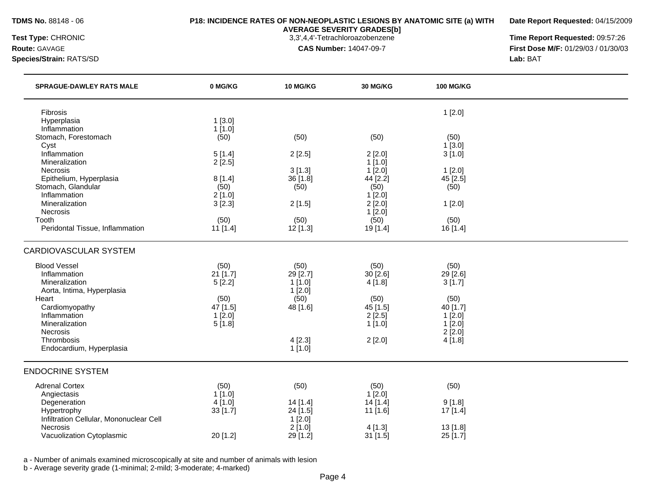**Date Report Requested:** 04/15/2009

**AVERAGE SEVERITY GRADES[b]**

**Test Type:** CHRONIC 3,3',4,4'-Tetrachloroazobenzene **Time Report Requested:** 09:57:26 **Route:** GAVAGE **CAS Number:** 14047-09-7 **First Dose M/F:** 01/29/03 / 01/30/03 **Species/Strain:** RATS/SD **Lab:** BAT

| <b>SPRAGUE-DAWLEY RATS MALE</b>         | 0 MG/KG          | 10 MG/KG  | 30 MG/KG       | <b>100 MG/KG</b> |  |
|-----------------------------------------|------------------|-----------|----------------|------------------|--|
| Fibrosis                                |                  |           |                | 1[2.0]           |  |
| Hyperplasia                             | 1[3.0]           |           |                |                  |  |
| Inflammation<br>Stomach, Forestomach    | 1[1.0]           |           |                | (50)             |  |
| Cyst                                    | (50)             | (50)      | (50)           | 1[3.0]           |  |
| Inflammation                            | 5[1.4]           | 2[2.5]    | 2[2.0]         | 3[1.0]           |  |
| Mineralization                          | 2[2.5]           |           | 1[1.0]         |                  |  |
| Necrosis                                |                  | 3[1.3]    | 1[2.0]         | 1[2.0]           |  |
| Epithelium, Hyperplasia                 | 8[1.4]           | 36 [1.8]  | 44 [2.2]       | 45 [2.5]         |  |
| Stomach, Glandular                      | (50)             | (50)      | (50)           | (50)             |  |
| Inflammation                            | 2[1.0]           |           | 1[2.0]         |                  |  |
| Mineralization<br>Necrosis              | 3[2.3]           | 2[1.5]    | 2[2.0]         | 1[2.0]           |  |
| Tooth                                   | (50)             | (50)      | 1[2.0]<br>(50) | (50)             |  |
| Peridontal Tissue, Inflammation         | 11 [1.4]         | 12 [1.3]  | 19 [1.4]       | 16 [1.4]         |  |
|                                         |                  |           |                |                  |  |
| <b>CARDIOVASCULAR SYSTEM</b>            |                  |           |                |                  |  |
| <b>Blood Vessel</b>                     | (50)             | (50)      | (50)           | (50)             |  |
| Inflammation                            | 21 [1.7]         | 29 [2.7]  | 30[2.6]        | 29 [2.6]         |  |
| Mineralization                          | 5[2.2]           | 1[1.0]    | 4 [1.8]        | 3[1.7]           |  |
| Aorta, Intima, Hyperplasia              |                  | 1[2.0]    |                |                  |  |
| Heart                                   | (50)             | (50)      | (50)           | (50)             |  |
| Cardiomyopathy                          | 47 [1.5]         | 48 [1.6]  | 45 [1.5]       | 40 [1.7]         |  |
| Inflammation<br>Mineralization          | 1[2.0]<br>5[1.8] |           | 2[2.5]         | 1[2.0]<br>1[2.0] |  |
| Necrosis                                |                  |           | 1[1.0]         | 2[2.0]           |  |
| Thrombosis                              |                  | 4[2.3]    | 2[2.0]         | 4[1.8]           |  |
| Endocardium, Hyperplasia                |                  | $1$ [1.0] |                |                  |  |
| <b>ENDOCRINE SYSTEM</b>                 |                  |           |                |                  |  |
| <b>Adrenal Cortex</b>                   | (50)             | (50)      | (50)           | (50)             |  |
| Angiectasis                             | 1[1.0]           |           | $1$ [ $2.0$ ]  |                  |  |
| Degeneration                            | 4 [1.0]          | 14 [1.4]  | 14 [1.4]       | 9[1.8]           |  |
| Hypertrophy                             | 33 [1.7]         | 24 [1.5]  | 11 [1.6]       | 17 [1.4]         |  |
| Infiltration Cellular, Mononuclear Cell |                  | 1[2.0]    |                |                  |  |
| Necrosis                                |                  | 2[1.0]    | 4[1.3]         | 13 [1.8]         |  |
| Vacuolization Cytoplasmic               | 20 [1.2]         | 29 [1.2]  | 31 [1.5]       | 25 [1.7]         |  |

a - Number of animals examined microscopically at site and number of animals with lesion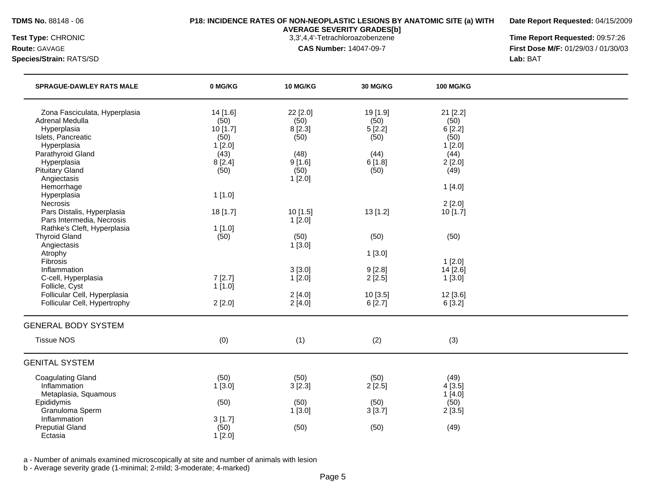**Date Report Requested:** 04/15/2009

**Species/Strain:** RATS/SD **Lab:** BAT

**AVERAGE SEVERITY GRADES[b]**

**Test Type:** CHRONIC 3,3',4,4'-Tetrachloroazobenzene **Time Report Requested:** 09:57:26 **Route:** GAVAGE **CAS Number:** 14047-09-7 **First Dose M/F:** 01/29/03 / 01/30/03

| <b>SPRAGUE-DAWLEY RATS MALE</b>                                                                                                                                    | 0 MG/KG                                                                  | 10 MG/KG                                                      | 30 MG/KG                                                     | <b>100 MG/KG</b>                                                       |  |
|--------------------------------------------------------------------------------------------------------------------------------------------------------------------|--------------------------------------------------------------------------|---------------------------------------------------------------|--------------------------------------------------------------|------------------------------------------------------------------------|--|
| Zona Fasciculata, Hyperplasia<br>Adrenal Medulla<br>Hyperplasia<br>Islets, Pancreatic<br>Hyperplasia<br>Parathyroid Gland<br>Hyperplasia<br><b>Pituitary Gland</b> | 14 [1.6]<br>(50)<br>10 [1.7]<br>(50)<br>1[2.0]<br>(43)<br>8[2.4]<br>(50) | 22 [2.0]<br>(50)<br>8 [2.3]<br>(50)<br>(48)<br>9[1.6]<br>(50) | 19 [1.9]<br>(50)<br>5[2.2]<br>(50)<br>(44)<br>6[1.8]<br>(50) | 21 [2.2]<br>(50)<br>6[2.2]<br>(50)<br>1[2.0]<br>(44)<br>2[2.0]<br>(49) |  |
| Angiectasis<br>Hemorrhage<br>Hyperplasia<br><b>Necrosis</b>                                                                                                        | 1[1.0]                                                                   | 1[2.0]                                                        |                                                              | 1[4.0]<br>2[2.0]                                                       |  |
| Pars Distalis, Hyperplasia<br>Pars Intermedia, Necrosis<br>Rathke's Cleft, Hyperplasia                                                                             | 18 [1.7]<br>1[1.0]                                                       | 10 [1.5]<br>1[2.0]                                            | 13 [1.2]                                                     | 10 [1.7]                                                               |  |
| <b>Thyroid Gland</b><br>Angiectasis<br>Atrophy<br>Fibrosis                                                                                                         | (50)                                                                     | (50)<br>1[3.0]                                                | (50)<br>1[3.0]                                               | (50)<br>1[2.0]                                                         |  |
| Inflammation<br>C-cell, Hyperplasia<br>Follicle, Cyst                                                                                                              | 7[2.7]<br>1[1.0]                                                         | 3[3.0]<br>1[2.0]                                              | 9[2.8]<br>2[2.5]                                             | 14 [2.6]<br>1[3.0]                                                     |  |
| Follicular Cell, Hyperplasia<br>Follicular Cell, Hypertrophy                                                                                                       | 2[2.0]                                                                   | 2[4.0]<br>2[4.0]                                              | 10 [3.5]<br>6[2.7]                                           | 12 [3.6]<br>6[3.2]                                                     |  |
| <b>GENERAL BODY SYSTEM</b>                                                                                                                                         |                                                                          |                                                               |                                                              |                                                                        |  |
| <b>Tissue NOS</b>                                                                                                                                                  | (0)                                                                      | (1)                                                           | (2)                                                          | (3)                                                                    |  |
| <b>GENITAL SYSTEM</b>                                                                                                                                              |                                                                          |                                                               |                                                              |                                                                        |  |
| <b>Coagulating Gland</b><br>Inflammation<br>Metaplasia, Squamous                                                                                                   | (50)<br>1[3.0]                                                           | (50)<br>3[2.3]                                                | (50)<br>2[2.5]                                               | (49)<br>4[3.5]<br>1[4.0]                                               |  |
| Epididymis<br>Granuloma Sperm<br>Inflammation                                                                                                                      | (50)<br>3[1.7]                                                           | (50)<br>1[3.0]                                                | (50)<br>3[3.7]                                               | (50)<br>2[3.5]                                                         |  |
| <b>Preputial Gland</b><br>Ectasia                                                                                                                                  | (50)<br>1[2.0]                                                           | (50)                                                          | (50)                                                         | (49)                                                                   |  |

a - Number of animals examined microscopically at site and number of animals with lesion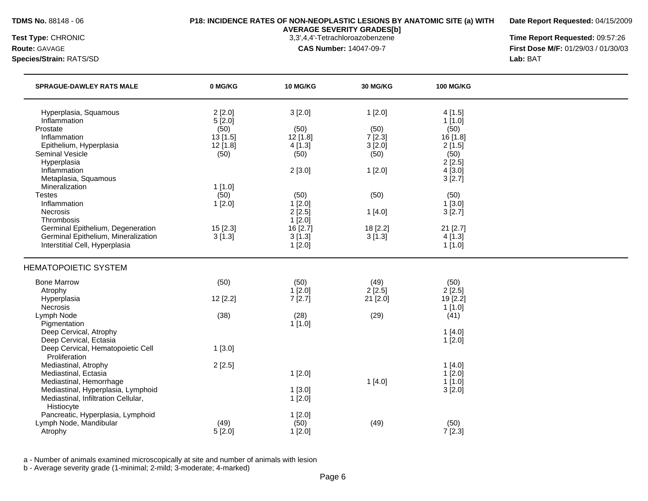**Date Report Requested:** 04/15/2009

**Species/Strain:** RATS/SD **Lab:** BAT

**AVERAGE SEVERITY GRADES[b]**

**Test Type:** CHRONIC 3,3',4,4'-Tetrachloroazobenzene **Time Report Requested:** 09:57:26 **Route:** GAVAGE **CAS Number:** 14047-09-7 **First Dose M/F:** 01/29/03 / 01/30/03

| <b>SPRAGUE-DAWLEY RATS MALE</b>                   | 0 MG/KG  | 10 MG/KG           | <b>30 MG/KG</b> | <b>100 MG/KG</b> |  |
|---------------------------------------------------|----------|--------------------|-----------------|------------------|--|
| Hyperplasia, Squamous                             | 2[2.0]   | 3[2.0]             | 1[2.0]          | 4[1.5]           |  |
| Inflammation                                      | 5[2.0]   |                    |                 | 1[1.0]           |  |
| Prostate                                          | (50)     | (50)               | (50)            | (50)             |  |
| Inflammation                                      | 13 [1.5] | 12 [1.8]           | 7[2.3]          | 16[1.8]          |  |
| Epithelium, Hyperplasia                           | 12 [1.8] | 4[1.3]             | 3[2.0]          | 2[1.5]           |  |
| <b>Seminal Vesicle</b>                            | (50)     | (50)               | (50)            | (50)             |  |
| Hyperplasia                                       |          |                    |                 | 2[2.5]           |  |
| Inflammation                                      |          | 2[3.0]             | 1[2.0]          | 4[3.0]           |  |
| Metaplasia, Squamous                              |          |                    |                 | 3[2.7]           |  |
| Mineralization                                    | 1[1.0]   |                    |                 |                  |  |
| <b>Testes</b><br>Inflammation                     | (50)     | (50)               | (50)            | (50)             |  |
| Necrosis                                          | 1[2.0]   | 1[2.0]             |                 | 1[3.0]           |  |
| Thrombosis                                        |          | 2[2.5]             | 1[4.0]          | 3[2.7]           |  |
| Germinal Epithelium, Degeneration                 | 15 [2.3] | 1[2.0]<br>16 [2.7] | 18 [2.2]        | $21$ [2.7]       |  |
| Germinal Epithelium, Mineralization               | 3[1.3]   | 3[1.3]             | 3[1.3]          | 4[1.3]           |  |
| Interstitial Cell, Hyperplasia                    |          | 1[2.0]             |                 | 1[1.0]           |  |
|                                                   |          |                    |                 |                  |  |
| <b>HEMATOPOIETIC SYSTEM</b>                       |          |                    |                 |                  |  |
| <b>Bone Marrow</b>                                | (50)     | (50)               | (49)            | (50)             |  |
| Atrophy                                           |          | 1[2.0]             | 2[2.5]          | 2[2.5]           |  |
| Hyperplasia                                       | 12 [2.2] | 7[2.7]             | 21 [2.0]        | 19 [2.2]         |  |
| Necrosis                                          |          |                    |                 | 1[1.0]           |  |
| Lymph Node                                        | (38)     | (28)               | (29)            | (41)             |  |
| Pigmentation                                      |          | 1[1.0]             |                 |                  |  |
| Deep Cervical, Atrophy                            |          |                    |                 | 1[4.0]           |  |
| Deep Cervical, Ectasia                            |          |                    |                 | 1[2.0]           |  |
| Deep Cervical, Hematopoietic Cell                 | 1[3.0]   |                    |                 |                  |  |
| Proliferation                                     |          |                    |                 |                  |  |
| Mediastinal, Atrophy                              | 2[2.5]   |                    |                 | 1[4.0]           |  |
| Mediastinal, Ectasia                              |          | 1[2.0]             |                 | 1[2.0]           |  |
| Mediastinal, Hemorrhage                           |          |                    | 1[4.0]          | 1[1.0]           |  |
| Mediastinal, Hyperplasia, Lymphoid                |          | 1[3.0]             |                 | 3[2.0]           |  |
| Mediastinal, Infiltration Cellular,<br>Histiocyte |          | 1[2.0]             |                 |                  |  |
| Pancreatic, Hyperplasia, Lymphoid                 |          |                    |                 |                  |  |
| Lymph Node, Mandibular                            | (49)     | 1[2.0]<br>(50)     | (49)            | (50)             |  |
| Atrophy                                           | 5[2.0]   | 1[2.0]             |                 | 7[2.3]           |  |
|                                                   |          |                    |                 |                  |  |

a - Number of animals examined microscopically at site and number of animals with lesion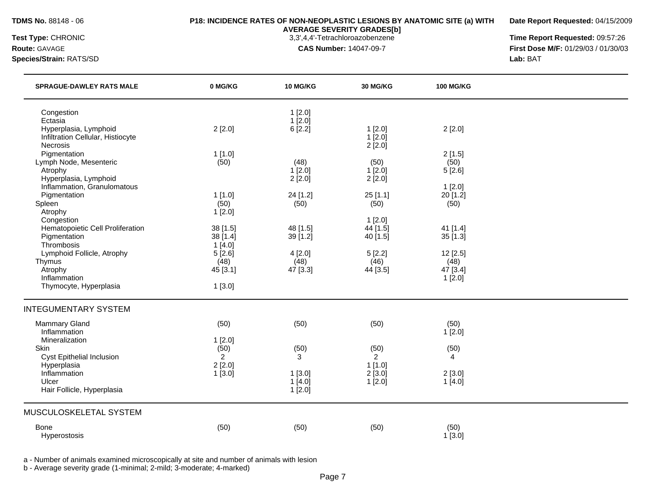**Date Report Requested:** 04/15/2009

**Species/Strain:** RATS/SD **Lab:** BAT

**AVERAGE SEVERITY GRADES[b]**

**Test Type:** CHRONIC 3,3',4,4'-Tetrachloroazobenzene **Time Report Requested:** 09:57:26 **Route:** GAVAGE **CAS Number:** 14047-09-7 **First Dose M/F:** 01/29/03 / 01/30/03

| <b>SPRAGUE-DAWLEY RATS MALE</b>                      | 0 MG/KG          | 10 MG/KG            | <b>30 MG/KG</b>  | <b>100 MG/KG</b> |  |
|------------------------------------------------------|------------------|---------------------|------------------|------------------|--|
| Congestion<br>Ectasia                                |                  | 1[2.0]<br>$1$ [2.0] |                  |                  |  |
| Hyperplasia, Lymphoid                                | 2[2.0]           | 6[2.2]              | 1[2.0]           | 2[2.0]           |  |
| Infiltration Cellular, Histiocyte                    |                  |                     | $1$ [ $2.0$ ]    |                  |  |
| <b>Necrosis</b>                                      |                  |                     | 2[2.0]           |                  |  |
| Pigmentation                                         | 1[1.0]           |                     |                  | 2[1.5]           |  |
| Lymph Node, Mesenteric                               | (50)             | (48)                | (50)             | (50)             |  |
| Atrophy                                              |                  | 1[2.0]              | 1[2.0]           | 5[2.6]           |  |
| Hyperplasia, Lymphoid<br>Inflammation, Granulomatous |                  | 2[2.0]              | 2[2.0]           | 1[2.0]           |  |
| Pigmentation                                         | 1[1.0]           | 24 [1.2]            | 25[1.1]          | 20 [1.2]         |  |
| Spleen                                               | (50)             | (50)                | (50)             | (50)             |  |
| Atrophy                                              | 1[2.0]           |                     |                  |                  |  |
| Congestion                                           |                  |                     | 1[2.0]           |                  |  |
| Hematopoietic Cell Proliferation                     | 38 [1.5]         | 48 [1.5]            | 44 [1.5]         | 41 [1.4]         |  |
| Pigmentation                                         | 38 [1.4]         | 39 [1.2]            | 40 [1.5]         | 35[1.3]          |  |
| Thrombosis                                           | 1[4.0]           |                     |                  |                  |  |
| Lymphoid Follicle, Atrophy                           | 5[2.6]           | 4[2.0]              | 5[2.2]           | 12 [2.5]         |  |
| Thymus<br>Atrophy                                    | (48)<br>45 [3.1] | (48)<br>47 [3.3]    | (46)<br>44 [3.5] | (48)<br>47 [3.4] |  |
| Inflammation                                         |                  |                     |                  | 1[2.0]           |  |
| Thymocyte, Hyperplasia                               | 1[3.0]           |                     |                  |                  |  |
| <b>INTEGUMENTARY SYSTEM</b>                          |                  |                     |                  |                  |  |
| <b>Mammary Gland</b>                                 | (50)             | (50)                | (50)             | (50)             |  |
| Inflammation                                         |                  |                     |                  | 1[2.0]           |  |
| Mineralization                                       | 1[2.0]           |                     |                  |                  |  |
| Skin                                                 | (50)             | (50)                | (50)             | (50)             |  |
| Cyst Epithelial Inclusion                            | $\overline{2}$   | 3                   | $\overline{2}$   | $\overline{4}$   |  |
| Hyperplasia                                          | 2[2.0]           |                     | 1[1.0]           |                  |  |
| Inflammation                                         | 1[3.0]           | 1[3.0]              | 2[3.0]           | 2[3.0]           |  |
| Ulcer                                                |                  | 1[4.0]              | 1[2.0]           | 1[4.0]           |  |
| Hair Follicle, Hyperplasia                           |                  | 1[2.0]              |                  |                  |  |
| MUSCULOSKELETAL SYSTEM                               |                  |                     |                  |                  |  |
| <b>Bone</b>                                          | (50)             | (50)                | (50)             | (50)             |  |
| Hyperostosis                                         |                  |                     |                  | 1[3.0]           |  |

a - Number of animals examined microscopically at site and number of animals with lesion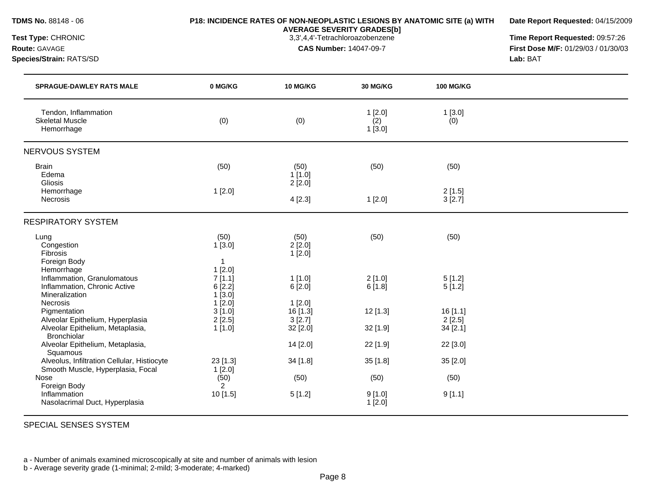**Date Report Requested:** 04/15/2009

**AVERAGE SEVERITY GRADES[b]**

**Test Type:** CHRONIC 3,3',4,4'-Tetrachloroazobenzene **Time Report Requested:** 09:57:26 **Route:** GAVAGE **CAS Number:** 14047-09-7 **First Dose M/F:** 01/29/03 / 01/30/03 **Species/Strain:** RATS/SD **Lab:** BAT

| <b>SPRAGUE-DAWLEY RATS MALE</b>                                                                                | 0 MG/KG                                           | 10 MG/KG                       | <b>30 MG/KG</b>         | <b>100 MG/KG</b>              |  |
|----------------------------------------------------------------------------------------------------------------|---------------------------------------------------|--------------------------------|-------------------------|-------------------------------|--|
| Tendon, Inflammation<br><b>Skeletal Muscle</b><br>Hemorrhage                                                   | (0)                                               | (0)                            | 1[2.0]<br>(2)<br>1[3.0] | 1[3.0]<br>(0)                 |  |
| NERVOUS SYSTEM                                                                                                 |                                                   |                                |                         |                               |  |
| <b>Brain</b><br>Edema<br><b>Gliosis</b>                                                                        | (50)                                              | (50)<br>1[1.0]<br>2[2.0]       | (50)                    | (50)                          |  |
| Hemorrhage<br>Necrosis                                                                                         | 1[2.0]                                            | 4[2.3]                         | 1[2.0]                  | 2[1.5]<br>3[2.7]              |  |
| <b>RESPIRATORY SYSTEM</b>                                                                                      |                                                   |                                |                         |                               |  |
| Lung<br>Congestion<br>Fibrosis<br>Foreign Body                                                                 | (50)<br>1[3.0]<br>$\overline{\mathbf{1}}$         | (50)<br>2[2.0]<br>1[2.0]       | (50)                    | (50)                          |  |
| Hemorrhage<br>Inflammation, Granulomatous<br>Inflammation, Chronic Active<br>Mineralization<br><b>Necrosis</b> | 1[2.0]<br>7[1.1]<br>6[2.2]<br>$1$ [3.0]<br>1[2.0] | 1[1.0]<br>6[2.0]<br>1[2.0]     | 2[1.0]<br>6[1.8]        | 5[1.2]<br>5[1.2]              |  |
| Pigmentation<br>Alveolar Epithelium, Hyperplasia<br>Alveolar Epithelium, Metaplasia,                           | 3[1.0]<br>2[2.5]<br>1 [1.0]                       | 16 [1.3]<br>3[2.7]<br>32 [2.0] | 12 [1.3]<br>32 [1.9]    | 16[1.1]<br>2[2.5]<br>34 [2.1] |  |
| <b>Bronchiolar</b><br>Alveolar Epithelium, Metaplasia,                                                         |                                                   | 14 [2.0]                       | 22 [1.9]                | 22 [3.0]                      |  |
| Squamous<br>Alveolus, Infiltration Cellular, Histiocyte<br>Smooth Muscle, Hyperplasia, Focal                   | 23 [1.3]<br>1[2.0]                                | 34 [1.8]                       | 35 [1.8]                | 35 [2.0]                      |  |
| Nose<br>Foreign Body                                                                                           | (50)<br>$\overline{2}$                            | (50)                           | (50)                    | (50)                          |  |
| Inflammation<br>Nasolacrimal Duct, Hyperplasia                                                                 | 10 [1.5]                                          | 5[1.2]                         | 9[1.0]<br>1[2.0]        | 9[1.1]                        |  |

SPECIAL SENSES SYSTEM

a - Number of animals examined microscopically at site and number of animals with lesion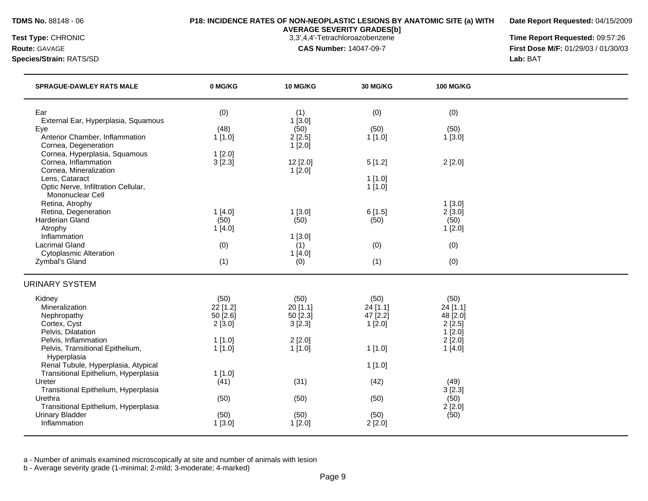**Date Report Requested:** 04/15/2009

**Species/Strain:** RATS/SD **Lab:** BAT

**AVERAGE SEVERITY GRADES[b]**

**Test Type:** CHRONIC 3,3',4,4'-Tetrachloroazobenzene **Time Report Requested:** 09:57:26 **Route:** GAVAGE **CAS Number:** 14047-09-7 **First Dose M/F:** 01/29/03 / 01/30/03

| <b>SPRAGUE-DAWLEY RATS MALE</b>                                | 0 MG/KG            | <b>10 MG/KG</b>    | 30 MG/KG           | <b>100 MG/KG</b>   |  |
|----------------------------------------------------------------|--------------------|--------------------|--------------------|--------------------|--|
| Ear                                                            | (0)                | (1)                | (0)                | (0)                |  |
| External Ear, Hyperplasia, Squamous<br>Eye                     | (48)               | $1$ [3.0]<br>(50)  | (50)               | (50)               |  |
| Anterior Chamber, Inflammation<br>Cornea, Degeneration         | 1[1.0]             | 2[2.5]<br>1[2.0]   | 1[1.0]             | 1[3.0]             |  |
| Cornea, Hyperplasia, Squamous                                  | 1[2.0]             |                    |                    |                    |  |
| Cornea, Inflammation<br>Cornea, Mineralization                 | 3[2.3]             | 12 [2.0]<br>1[2.0] | 5[1.2]             | 2[2.0]             |  |
| Lens, Cataract                                                 |                    |                    | 1[1.0]             |                    |  |
| Optic Nerve, Infiltration Cellular,<br>Mononuclear Cell        |                    |                    | 1[1.0]             |                    |  |
| Retina, Atrophy                                                |                    |                    |                    | 1[3.0]             |  |
| Retina, Degeneration                                           | 1[4.0]             | 1[3.0]             | 6[1.5]             | 2[3.0]             |  |
| <b>Harderian Gland</b><br>Atrophy                              | (50)<br>1[4.0]     | (50)               | (50)               | (50)<br>1[2.0]     |  |
| Inflammation                                                   |                    | 1[3.0]             |                    |                    |  |
| <b>Lacrimal Gland</b>                                          | (0)                | (1)                | (0)                | (0)                |  |
| <b>Cytoplasmic Alteration</b><br>Zymbal's Gland                | (1)                | 1[4.0]<br>(0)      | (1)                | (0)                |  |
| <b>URINARY SYSTEM</b>                                          |                    |                    |                    |                    |  |
| Kidney                                                         | (50)               | (50)               | (50)               | (50)               |  |
| Mineralization                                                 | 22 [1.2]           | 20 [1.1]           | 24 [1.1]           | 24 [1.1]           |  |
| Nephropathy<br>Cortex, Cyst                                    | 50 [2.6]<br>2[3.0] | 50 [2.3]<br>3[2.3] | 47 [2.2]<br>1[2.0] | 48 [2.0]<br>2[2.5] |  |
| Pelvis, Dilatation                                             |                    |                    |                    | 1[2.0]             |  |
| Pelvis, Inflammation                                           | $1$ [1.0]          | $2$ [2.0]          |                    | 2[2.0]             |  |
| Pelvis, Transitional Epithelium,<br>Hyperplasia                | 1[1.0]             | 1[1.0]             | 1[1.0]             | 1[4.0]             |  |
| Renal Tubule, Hyperplasia, Atypical                            |                    |                    | 1[1.0]             |                    |  |
| Transitional Epithelium, Hyperplasia<br>Ureter                 | 1[1.0]             | (31)               | (42)               |                    |  |
| Transitional Epithelium, Hyperplasia                           | (41)               |                    |                    | (49)<br>3[2.3]     |  |
| Urethra                                                        | (50)               | (50)               | (50)               | (50)               |  |
| Transitional Epithelium, Hyperplasia<br><b>Urinary Bladder</b> | (50)               | (50)               | (50)               | 2[2.0]<br>(50)     |  |
| Inflammation                                                   | 1[3.0]             | 1[2.0]             | 2[2.0]             |                    |  |
|                                                                |                    |                    |                    |                    |  |

a - Number of animals examined microscopically at site and number of animals with lesion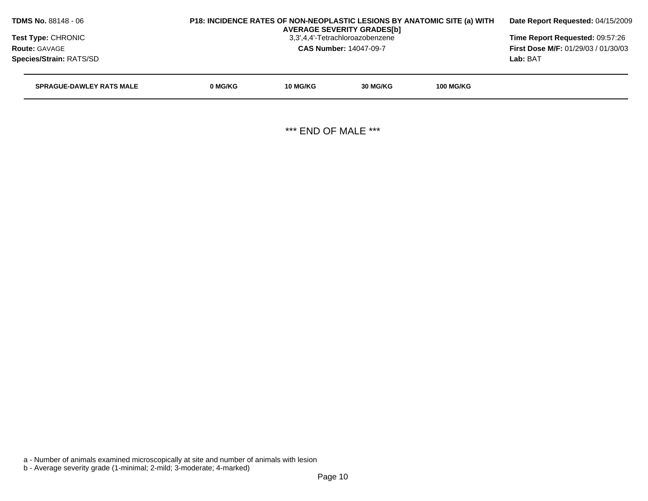|         | Date Report Requested: 04/15/2009                                             |          |                                                                                                       |                                                                          |
|---------|-------------------------------------------------------------------------------|----------|-------------------------------------------------------------------------------------------------------|--------------------------------------------------------------------------|
|         | Time Report Requested: 09:57:26<br><b>First Dose M/F: 01/29/03 / 01/30/03</b> |          |                                                                                                       |                                                                          |
|         |                                                                               |          |                                                                                                       |                                                                          |
|         |                                                                               |          |                                                                                                       | Lab: BAT                                                                 |
| 0 MG/KG | 10 MG/KG                                                                      | 30 MG/KG | <b>100 MG/KG</b>                                                                                      |                                                                          |
|         |                                                                               |          |                                                                                                       |                                                                          |
|         |                                                                               |          | <b>AVERAGE SEVERITY GRADES[b]</b><br>3,3',4,4'-Tetrachloroazobenzene<br><b>CAS Number: 14047-09-7</b> | P18: INCIDENCE RATES OF NON-NEOPLASTIC LESIONS BY ANATOMIC SITE (a) WITH |

\*\*\* END OF MALE \*\*\*

a - Number of animals examined microscopically at site and number of animals with lesion

b - Average severity grade (1-minimal; 2-mild; 3-moderate; 4-marked)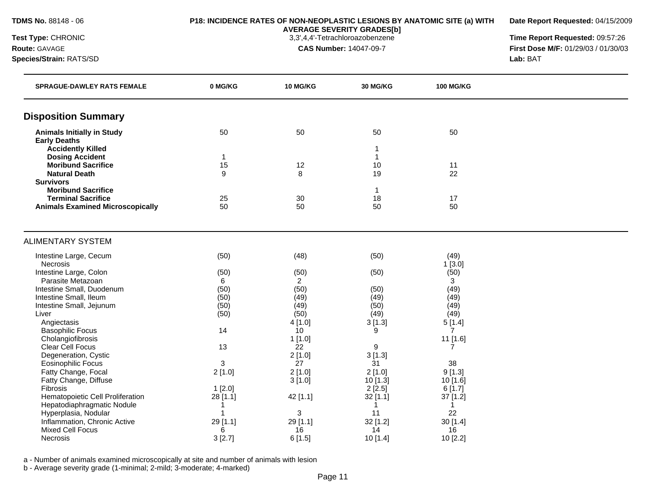**Date Report Requested:** 04/15/2009

**AVERAGE SEVERITY GRADES[b]**

**Test Type:** CHRONIC 3,3',4,4'-Tetrachloroazobenzene **Time Report Requested:** 09:57:26 **Route:** GAVAGE **CAS Number:** 14047-09-7 **First Dose M/F:** 01/29/03 / 01/30/03 **Species/Strain:** RATS/SD **Lab:** BAT

| <b>SPRAGUE-DAWLEY RATS FEMALE</b>                                    | 0 MG/KG       | 10 MG/KG                  | 30 MG/KG       | <b>100 MG/KG</b> |  |
|----------------------------------------------------------------------|---------------|---------------------------|----------------|------------------|--|
| <b>Disposition Summary</b>                                           |               |                           |                |                  |  |
| <b>Animals Initially in Study</b>                                    | 50            | 50                        | 50             | 50               |  |
| <b>Early Deaths</b>                                                  |               |                           |                |                  |  |
| <b>Accidently Killed</b><br><b>Dosing Accident</b>                   | 1             |                           | $\mathbf{1}$   |                  |  |
| <b>Moribund Sacrifice</b>                                            | 15            | 12                        | 10             | 11               |  |
| <b>Natural Death</b>                                                 | 9             | 8                         | 19             | 22               |  |
| <b>Survivors</b>                                                     |               |                           |                |                  |  |
| <b>Moribund Sacrifice</b>                                            |               |                           | -1             |                  |  |
| <b>Terminal Sacrifice</b><br><b>Animals Examined Microscopically</b> | 25<br>50      | 30<br>50                  | 18<br>50       | 17<br>50         |  |
|                                                                      |               |                           |                |                  |  |
| <b>ALIMENTARY SYSTEM</b>                                             |               |                           |                |                  |  |
| Intestine Large, Cecum                                               | (50)          | (48)                      | (50)           | (49)             |  |
| Necrosis                                                             |               |                           |                | 1[3.0]           |  |
| Intestine Large, Colon                                               | (50)          | (50)                      | (50)           | (50)             |  |
| Parasite Metazoan                                                    | 6             | $\overline{2}$            |                | 3                |  |
| Intestine Small, Duodenum<br>Intestine Small, Ileum                  | (50)<br>(50)  | (50)<br>(49)              | (50)<br>(49)   | (49)<br>(49)     |  |
| Intestine Small, Jejunum                                             | (50)          | (49)                      | (50)           | (49)             |  |
| Liver                                                                | (50)          | (50)                      | (49)           | (49)             |  |
| Angiectasis                                                          |               | 4[1.0]                    | 3[1.3]         | 5[1.4]           |  |
| <b>Basophilic Focus</b>                                              | 14            | 10                        | 9              | $\overline{7}$   |  |
| Cholangiofibrosis                                                    |               | 1[1.0]                    |                | 11 [1.6]         |  |
| <b>Clear Cell Focus</b>                                              | 13            | 22                        | 9              | 7                |  |
| Degeneration, Cystic                                                 |               | 2[1.0]                    | 3[1.3]         |                  |  |
| <b>Eosinophilic Focus</b>                                            | 3             | 27                        | 31             | 38               |  |
| Fatty Change, Focal                                                  | 2[1.0]        | 2[1.0]                    | $2$ [1.0]      | 9[1.3]           |  |
| Fatty Change, Diffuse                                                |               | 3[1.0]                    | $10$ [1.3]     | 10 [1.6]         |  |
| Fibrosis                                                             | 1[2.0]        |                           | 2[2.5]         | 6[1.7]           |  |
| Hematopoietic Cell Proliferation                                     | 28 [1.1]      | 42 [1.1]                  | $32$ [1.1]     | 37 [1.2]         |  |
| Hepatodiaphragmatic Nodule                                           | -1            |                           |                | -1               |  |
| Hyperplasia, Nodular                                                 | -1            | $\ensuremath{\mathsf{3}}$ | 11             | 22               |  |
| Inflammation, Chronic Active<br>Mixed Cell Focus                     | 29 [1.1]<br>6 | 29 [1.1]<br>16            | 32 [1.2]<br>14 | 30[1.4]<br>16    |  |
| <b>Necrosis</b>                                                      | 3[2.7]        | 6[1.5]                    | 10 [1.4]       | 10 [2.2]         |  |

a - Number of animals examined microscopically at site and number of animals with lesion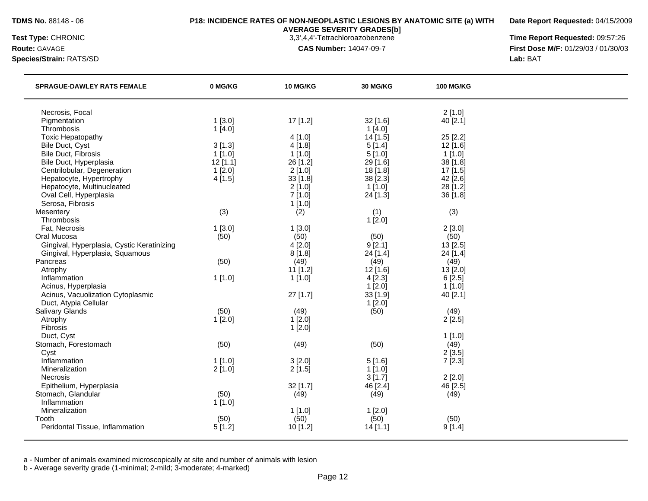**Date Report Requested:** 04/15/2009

**Species/Strain:** RATS/SD **Lab:** BAT

**AVERAGE SEVERITY GRADES[b]**

**Test Type:** CHRONIC 3,3',4,4'-Tetrachloroazobenzene **Time Report Requested:** 09:57:26 **Route:** GAVAGE **CAS Number:** 14047-09-7 **First Dose M/F:** 01/29/03 / 01/30/03

| <b>SPRAGUE-DAWLEY RATS FEMALE</b>          | 0 MG/KG    | 10 MG/KG   | 30 MG/KG   | <b>100 MG/KG</b> |  |
|--------------------------------------------|------------|------------|------------|------------------|--|
| Necrosis, Focal                            |            |            |            | 2[1.0]           |  |
| Pigmentation                               | 1[3.0]     | 17 [1.2]   | 32 [1.6]   | 40 [2.1]         |  |
| Thrombosis                                 | 1[4.0]     |            | 1[4.0]     |                  |  |
| <b>Toxic Hepatopathy</b>                   |            | 4[1.0]     | $14$ [1.5] | 25 [2.2]         |  |
| Bile Duct, Cyst                            | 3[1.3]     | 4 [1.8]    | 5[1.4]     | 12 [1.6]         |  |
| <b>Bile Duct, Fibrosis</b>                 | $1$ [1.0]  | $1$ [1.0]  | 5[1.0]     | $1$ [1.0]        |  |
| Bile Duct, Hyperplasia                     | $12$ [1.1] | 26 [1.2]   | 29 [1.6]   | 38 [1.8]         |  |
| Centrilobular, Degeneration                | 1[2.0]     | 2[1.0]     | 18 [1.8]   | 17 [1.5]         |  |
| Hepatocyte, Hypertrophy                    | 4[1.5]     | 33 [1.8]   | $38$ [2.3] | $42$ [2.6]       |  |
| Hepatocyte, Multinucleated                 |            | 2[1.0]     | $1$ [1.0]  | 28 [1.2]         |  |
| Oval Cell, Hyperplasia                     |            | 7[1.0]     | 24 [1.3]   | 36 [1.8]         |  |
| Serosa, Fibrosis                           |            | 1[1.0]     |            |                  |  |
| Mesentery                                  | (3)        | (2)        | (1)        | (3)              |  |
| Thrombosis                                 |            |            | 1[2.0]     |                  |  |
| Fat, Necrosis                              | 1[3.0]     | 1[3.0]     |            | 2[3.0]           |  |
| Oral Mucosa                                | (50)       | (50)       | (50)       | (50)             |  |
| Gingival, Hyperplasia, Cystic Keratinizing |            | 4 [2.0]    | 9 [2.1]    | 13 [2.5]         |  |
| Gingival, Hyperplasia, Squamous            |            | 8[1.8]     | 24 [1.4]   | 24 [1.4]         |  |
| Pancreas                                   | (50)       | (49)       | (49)       | (49)             |  |
| Atrophy                                    |            | $11$ [1.2] | $12$ [1.6] | 13 [2.0]         |  |
| Inflammation                               | 1[1.0]     | 1[1.0]     | 4[2.3]     | 6[2.5]           |  |
| Acinus, Hyperplasia                        |            |            | 1[2.0]     | 1[1.0]           |  |
| Acinus, Vacuolization Cytoplasmic          |            | $27$ [1.7] | $33$ [1.9] | 40 [2.1]         |  |
| Duct, Atypia Cellular                      |            |            | 1[2.0]     |                  |  |
| Salivary Glands                            | (50)       | (49)       | (50)       | (49)             |  |
| Atrophy                                    | 1[2.0]     | 1[2.0]     |            | 2[2.5]           |  |
| Fibrosis                                   |            | 1[2.0]     |            |                  |  |
| Duct, Cyst                                 |            |            |            | $1$ [1.0]        |  |
| Stomach, Forestomach                       | (50)       | (49)       | (50)       | (49)             |  |
| Cyst                                       |            |            |            | 2[3.5]           |  |
| Inflammation                               | 1[1.0]     | 3[2.0]     | 5[1.6]     | 7[2.3]           |  |
| Mineralization                             | 2[1.0]     | 2[1.5]     | $1$ [1.0]  |                  |  |
| <b>Necrosis</b>                            |            |            | 3[1.7]     | 2[2.0]           |  |
| Epithelium, Hyperplasia                    |            | 32 [1.7]   | 46 [2.4]   | 46 [2.5]         |  |
| Stomach, Glandular                         | (50)       | (49)       | (49)       | (49)             |  |
| Inflammation                               | 1[1.0]     |            |            |                  |  |
| Mineralization                             |            | 1[1.0]     | 1[2.0]     |                  |  |
| Tooth                                      | (50)       | (50)       | (50)       | (50)             |  |
| Peridontal Tissue, Inflammation            | 5[1.2]     | 10 [1.2]   | 14[1.1]    | 9[1.4]           |  |
|                                            |            |            |            |                  |  |

a - Number of animals examined microscopically at site and number of animals with lesion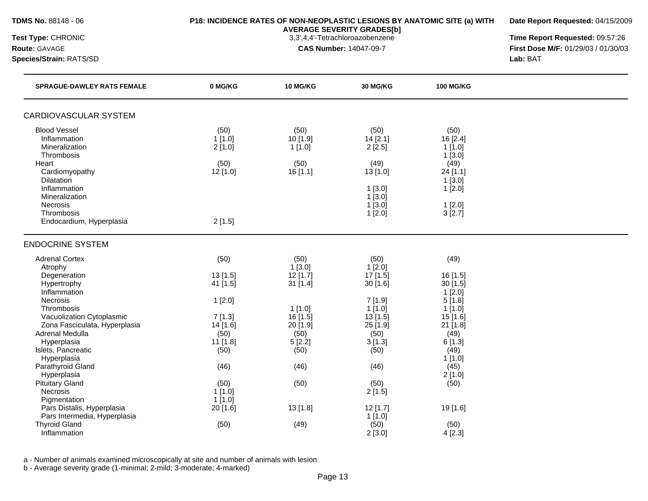**Date Report Requested:** 04/15/2009

**AVERAGE SEVERITY GRADES[b]**

**Species/Strain:** RATS/SD **Lab:** BAT

**Test Type:** CHRONIC 3,3',4,4'-Tetrachloroazobenzene **Time Report Requested:** 09:57:26 **Route:** GAVAGE **CAS Number:** 14047-09-7 **First Dose M/F:** 01/29/03 / 01/30/03

| <b>SPRAGUE-DAWLEY RATS FEMALE</b>                          | 0 MG/KG            | 10 MG/KG               | 30 MG/KG           | <b>100 MG/KG</b>       |  |
|------------------------------------------------------------|--------------------|------------------------|--------------------|------------------------|--|
| CARDIOVASCULAR SYSTEM                                      |                    |                        |                    |                        |  |
| <b>Blood Vessel</b>                                        | (50)               | (50)                   | (50)               | (50)                   |  |
| Inflammation                                               | 1[1.0]             | 10 [1.9]               | 14 [2.1]           | 16 [2.4]               |  |
| Mineralization                                             | 2[1.0]             | 1[1.0]                 | 2[2.5]             | $1$ [1.0]              |  |
| Thrombosis                                                 |                    |                        |                    | 1[3.0]                 |  |
| Heart                                                      | (50)               | (50)                   | (49)               | (49)                   |  |
| Cardiomyopathy<br><b>Dilatation</b>                        | $12$ [1.0]         | 16[1.1]                | 13[1.0]            | 24 [1.1]<br>1[3.0]     |  |
| Inflammation                                               |                    |                        | 1[3.0]             | 1[2.0]                 |  |
| Mineralization                                             |                    |                        | 1[3.0]             |                        |  |
| Necrosis                                                   |                    |                        | 1[3.0]             | 1[2.0]                 |  |
| Thrombosis                                                 |                    |                        | 1[2.0]             | 3[2.7]                 |  |
| Endocardium, Hyperplasia                                   | 2[1.5]             |                        |                    |                        |  |
| <b>ENDOCRINE SYSTEM</b>                                    |                    |                        |                    |                        |  |
| <b>Adrenal Cortex</b>                                      | (50)               | (50)                   | (50)               | (49)                   |  |
| Atrophy                                                    |                    | 1[3.0]                 | 1[2.0]             |                        |  |
| Degeneration                                               | 13 [1.5]           | $12$ [1.7]             | 17 [1.5]           | 16 [1.5]               |  |
| Hypertrophy                                                | 41 [1.5]           | $31$ [1.4]             | 30[1.6]            | 30 [1.5]               |  |
| Inflammation                                               |                    |                        |                    | $1$ [2.0]              |  |
| Necrosis                                                   | 1[2.0]             |                        | 7 [1.9]            | 5[1.8]                 |  |
| Thrombosis                                                 |                    | $1$ [1.0]              | $1$ [1.0]          | $1$ [1.0]              |  |
| Vacuolization Cytoplasmic<br>Zona Fasciculata, Hyperplasia | 7[1.3]<br>14 [1.6] | 16 [1.5]<br>$20$ [1.9] | 13[1.5]<br>25[1.9] | 15 [1.6]<br>$21$ [1.8] |  |
| <b>Adrenal Medulla</b>                                     | (50)               | (50)                   | (50)               | (49)                   |  |
| Hyperplasia                                                | 11 [1.8]           | 5[2.2]                 | 3[1.3]             | 6[1.3]                 |  |
| Islets, Pancreatic                                         | (50)               | (50)                   | (50)               | (49)                   |  |
| Hyperplasia                                                |                    |                        |                    | 1[1.0]                 |  |
| Parathyroid Gland                                          | (46)               | (46)                   | (46)               | (45)                   |  |
| Hyperplasia                                                |                    |                        |                    | 2[1.0]                 |  |
| <b>Pituitary Gland</b>                                     | (50)               | (50)                   | (50)               | (50)                   |  |
| Necrosis                                                   | 1[1.0]             |                        | 2[1.5]             |                        |  |
| Pigmentation                                               | 1[1.0]             |                        |                    |                        |  |
| Pars Distalis, Hyperplasia                                 | 20 [1.6]           | 13 [1.8]               | $12$ [1.7]         | 19 [1.6]               |  |
| Pars Intermedia, Hyperplasia                               |                    |                        | 1[1.0]             |                        |  |
| <b>Thyroid Gland</b>                                       | (50)               | (49)                   | (50)               | (50)                   |  |
| Inflammation                                               |                    |                        | 2[3.0]             | 4[2.3]                 |  |

a - Number of animals examined microscopically at site and number of animals with lesion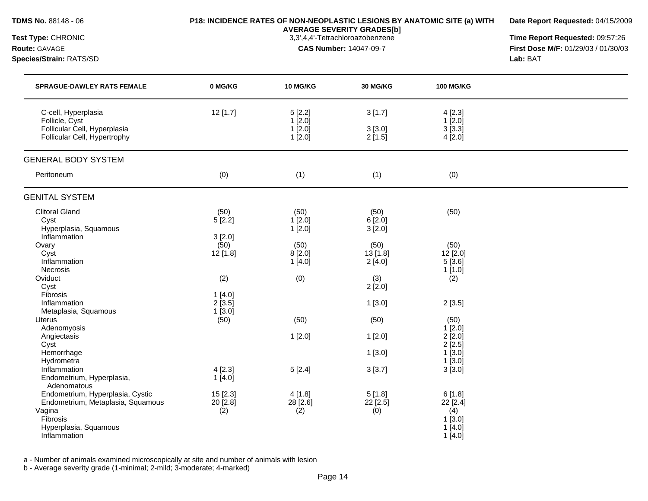**Date Report Requested:** 04/15/2009

**Species/Strain:** RATS/SD **Lab:** BAT

**AVERAGE SEVERITY GRADES[b]**

**Test Type:** CHRONIC 3,3',4,4'-Tetrachloroazobenzene **Time Report Requested:** 09:57:26 **Route:** GAVAGE **CAS Number:** 14047-09-7 **First Dose M/F:** 01/29/03 / 01/30/03

| <b>SPRAGUE-DAWLEY RATS FEMALE</b>                                                                                                    | 0 MG/KG                           | 10 MG/KG                             | 30 MG/KG                   | <b>100 MG/KG</b>                                          |  |
|--------------------------------------------------------------------------------------------------------------------------------------|-----------------------------------|--------------------------------------|----------------------------|-----------------------------------------------------------|--|
| C-cell, Hyperplasia<br>Follicle, Cyst<br>Follicular Cell, Hyperplasia<br>Follicular Cell, Hypertrophy                                | 12 [1.7]                          | 5[2.2]<br>1[2.0]<br>1[2.0]<br>1[2.0] | 3[1.7]<br>3[3.0]<br>2[1.5] | 4[2.3]<br>1[2.0]<br>3[3.3]<br>4[2.0]                      |  |
| <b>GENERAL BODY SYSTEM</b>                                                                                                           |                                   |                                      |                            |                                                           |  |
| Peritoneum                                                                                                                           | (0)                               | (1)                                  | (1)                        | (0)                                                       |  |
| <b>GENITAL SYSTEM</b>                                                                                                                |                                   |                                      |                            |                                                           |  |
| <b>Clitoral Gland</b><br>Cyst<br>Hyperplasia, Squamous<br>Inflammation                                                               | (50)<br>5[2.2]<br>3[2.0]          | (50)<br>$1$ [2.0]<br>1[2.0]          | (50)<br>6[2.0]<br>3[2.0]   | (50)                                                      |  |
| Ovary<br>Cyst<br>Inflammation<br>Necrosis                                                                                            | (50)<br>12 [1.8]                  | (50)<br>8[2.0]<br>1[4.0]             | (50)<br>13 [1.8]<br>2[4.0] | (50)<br>12 [2.0]<br>5[3.6]<br>1[1.0]                      |  |
| Oviduct<br>Cyst<br>Fibrosis                                                                                                          | (2)<br>1[4.0]                     | (0)                                  | (3)<br>2[2.0]              | (2)                                                       |  |
| Inflammation<br>Metaplasia, Squamous                                                                                                 | 2[3.5]<br>1[3.0]                  |                                      | 1[3.0]                     | 2[3.5]                                                    |  |
| <b>Uterus</b><br>Adenomyosis                                                                                                         | (50)                              | (50)                                 | (50)                       | (50)<br>$1$ [2.0]                                         |  |
| Angiectasis<br>Cyst                                                                                                                  |                                   | 1[2.0]                               | 1[2.0]                     | $2$ [ $2.0$ ]<br>$2$ [ $2.5$ ]                            |  |
| Hemorrhage<br>Hydrometra<br>Inflammation                                                                                             | 4[2.3]                            |                                      | 1[3.0]                     | 1[3.0]<br>$1$ [3.0]                                       |  |
| Endometrium, Hyperplasia,<br>Adenomatous                                                                                             | 1[4.0]                            | 5[2.4]                               | 3[3.7]                     | 3[3.0]                                                    |  |
| Endometrium, Hyperplasia, Cystic<br>Endometrium, Metaplasia, Squamous<br>Vagina<br>Fibrosis<br>Hyperplasia, Squamous<br>Inflammation | 15 [2.3]<br>$20$ [ $2.8$ ]<br>(2) | 4 [1.8]<br>$28$ [2.6]<br>(2)         | 5[1.8]<br>22 [2.5]<br>(0)  | 6[1.8]<br>$22$ [2.4]<br>(4)<br>1[3.0]<br>1[4.0]<br>1[4.0] |  |

a - Number of animals examined microscopically at site and number of animals with lesion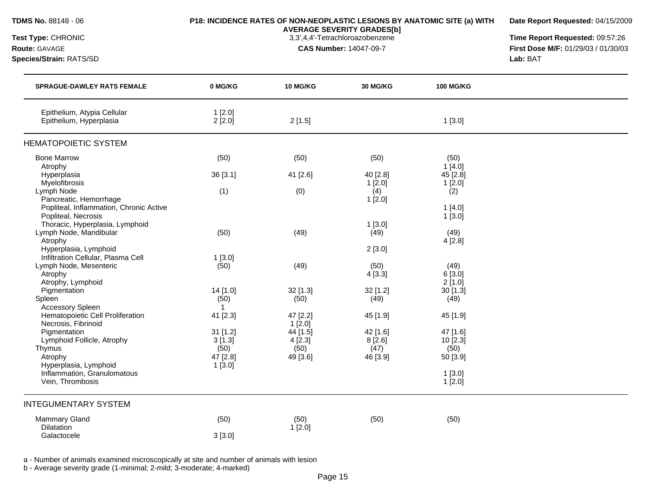| Test Type: CHRONIC<br>Route: GAVAGE<br>Species/Strain: RATS/SD | <b>AVERAGE SEVERITY GRADES[b]</b><br>3,3',4,4'-Tetrachloroazobenzene<br><b>CAS Number: 14047-09-7</b> |                 |                 | Time Report Requested: 09:57:26<br>First Dose M/F: 01/29/03 / 01/30/03<br>Lab: BAT |  |
|----------------------------------------------------------------|-------------------------------------------------------------------------------------------------------|-----------------|-----------------|------------------------------------------------------------------------------------|--|
| <b>SPRAGUE-DAWLEY RATS FEMALE</b>                              | 0 MG/KG                                                                                               | <b>10 MG/KG</b> | <b>30 MG/KG</b> | <b>100 MG/KG</b>                                                                   |  |
| Epithelium, Atypia Cellular<br>Epithelium, Hyperplasia         | 1[2.0]<br>$2$ [ $2.0$ ]                                                                               | 2[1.5]          |                 | 1[3.0]                                                                             |  |
| <b>HEMATOPOIETIC SYSTEM</b>                                    |                                                                                                       |                 |                 |                                                                                    |  |
| <b>Bone Marrow</b>                                             | (50)                                                                                                  | (50)            | (50)            | (50)                                                                               |  |
| Atrophy                                                        |                                                                                                       |                 |                 | 1[4.0]                                                                             |  |
| Hyperplasia                                                    | 36 [3.1]                                                                                              | 41 [2.6]        | 40 [2.8]        | 45 [2.8]                                                                           |  |
| Myelofibrosis                                                  |                                                                                                       |                 | 1[2.0]          | 1[2.0]                                                                             |  |
| Lymph Node                                                     | (1)                                                                                                   | (0)             | (4)             | (2)                                                                                |  |
| Pancreatic, Hemorrhage                                         |                                                                                                       |                 | 1[2.0]          |                                                                                    |  |
| Popliteal, Inflammation, Chronic Active                        |                                                                                                       |                 |                 | 1[4.0]                                                                             |  |
| Popliteal, Necrosis                                            |                                                                                                       |                 |                 | $1$ [3.0]                                                                          |  |
| Thoracic, Hyperplasia, Lymphoid                                |                                                                                                       |                 | 1[3.0]          |                                                                                    |  |
| Lymph Node, Mandibular                                         | (50)                                                                                                  | (49)            | (49)            | (49)                                                                               |  |
| Atrophy                                                        |                                                                                                       |                 |                 | 4[2.8]                                                                             |  |
| Hyperplasia, Lymphoid<br>Infiltration Cellular, Plasma Cell    |                                                                                                       |                 | 2[3.0]          |                                                                                    |  |
|                                                                | 1[3.0]                                                                                                |                 |                 |                                                                                    |  |
| Lymph Node, Mesenteric<br>Atrophy                              | (50)                                                                                                  | (49)            | (50)<br>4[3.3]  | (49)<br>6[3.0]                                                                     |  |
| Atrophy, Lymphoid                                              |                                                                                                       |                 |                 | $2$ [1.0]                                                                          |  |
| Pigmentation                                                   | 14 [1.0]                                                                                              | $32$ [1.3]      | $32$ [1.2]      | $30$ [1.3]                                                                         |  |
| Spleen                                                         | (50)                                                                                                  | (50)            | (49)            | (49)                                                                               |  |
| <b>Accessory Spleen</b>                                        | $\mathbf{1}$                                                                                          |                 |                 |                                                                                    |  |
| Hematopoietic Cell Proliferation                               | 41 [2.3]                                                                                              | 47 [2.2]        | 45 [1.9]        | 45 [1.9]                                                                           |  |
| Necrosis, Fibrinoid                                            |                                                                                                       | $1$ [2.0]       |                 |                                                                                    |  |
| Pigmentation                                                   | $31$ [1.2]                                                                                            | 44 [1.5]        | 42 [1.6]        | 47 [1.6]                                                                           |  |
| Lymphoid Follicle, Atrophy                                     | 3[1.3]                                                                                                | 4[2.3]          | 8[2.6]          | $10$ [2.3]                                                                         |  |
| Thymus                                                         | (50)                                                                                                  | (50)            | (47)            | (50)                                                                               |  |
| Atrophy                                                        | 47 [2.8]                                                                                              | 49 [3.6]        | 46 [3.9]        | 50 [3.9]                                                                           |  |
| Hyperplasia, Lymphoid                                          | 1[3.0]                                                                                                |                 |                 |                                                                                    |  |
| Inflammation, Granulomatous                                    |                                                                                                       |                 |                 | $1$ [3.0]                                                                          |  |
| Vein, Thrombosis                                               |                                                                                                       |                 |                 | 1[2.0]                                                                             |  |
| <b>INTEGUMENTARY SYSTEM</b>                                    |                                                                                                       |                 |                 |                                                                                    |  |
| <b>Mammary Gland</b>                                           | (50)                                                                                                  | (50)            | (50)            | (50)                                                                               |  |
| <b>Dilatation</b><br>Galactocele                               | 3[3.0]                                                                                                | 1[2.0]          |                 |                                                                                    |  |
|                                                                |                                                                                                       |                 |                 |                                                                                    |  |

**Date Report Requested:** 04/15/2009

**TDMS No.** 88148 - 06 **P18: INCIDENCE RATES OF NON-NEOPLASTIC LESIONS BY ANATOMIC SITE (a) WITH**

a - Number of animals examined microscopically at site and number of animals with lesion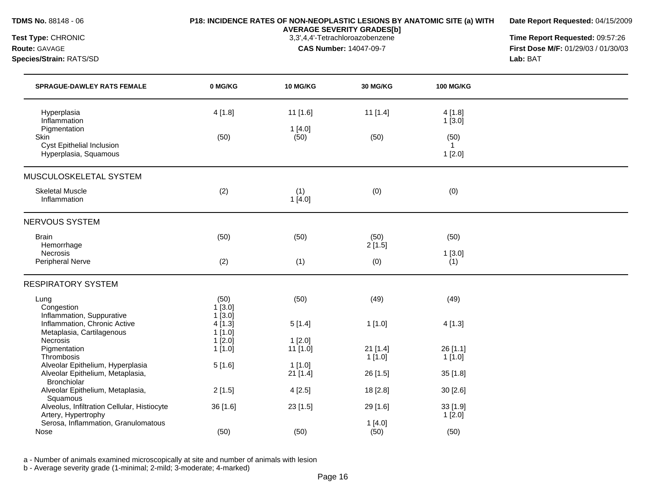**Date Report Requested:** 04/15/2009

**AVERAGE SEVERITY GRADES[b]**

**Test Type:** CHRONIC 3,3',4,4'-Tetrachloroazobenzene **Time Report Requested:** 09:57:26 **Route:** GAVAGE **CAS Number:** 14047-09-7 **First Dose M/F:** 01/29/03 / 01/30/03 **Species/Strain:** RATS/SD **Lab:** BAT

| <b>SPRAGUE-DAWLEY RATS FEMALE</b>                         | 0 MG/KG          | 10 MG/KG      | 30 MG/KG                | <b>100 MG/KG</b>       |  |
|-----------------------------------------------------------|------------------|---------------|-------------------------|------------------------|--|
| Hyperplasia<br>Inflammation                               | 4[1.8]           | 11 [1.6]      | $11$ [1.4]              | 4[1.8]<br>1[3.0]       |  |
| Pigmentation                                              |                  | 1[4.0]        |                         |                        |  |
| <b>Skin</b>                                               | (50)             | (50)          | (50)                    | (50)                   |  |
| <b>Cyst Epithelial Inclusion</b><br>Hyperplasia, Squamous |                  |               |                         | $\mathbf{1}$<br>1[2.0] |  |
| MUSCULOSKELETAL SYSTEM                                    |                  |               |                         |                        |  |
| <b>Skeletal Muscle</b><br>Inflammation                    | (2)              | (1)<br>1[4.0] | (0)                     | (0)                    |  |
| <b>NERVOUS SYSTEM</b>                                     |                  |               |                         |                        |  |
| <b>Brain</b>                                              | (50)             | (50)          | (50)                    | (50)                   |  |
| Hemorrhage                                                |                  |               | 2[1.5]                  |                        |  |
| Necrosis                                                  |                  |               |                         | 1[3.0]                 |  |
| Peripheral Nerve                                          | (2)              | (1)           | (0)                     | (1)                    |  |
| <b>RESPIRATORY SYSTEM</b>                                 |                  |               |                         |                        |  |
| Lung<br>Congestion                                        | (50)<br>1[3.0]   | (50)          | (49)                    | (49)                   |  |
| Inflammation, Suppurative<br>Inflammation, Chronic Active | 1[3.0]<br>4[1.3] | 5[1.4]        | 1[1.0]                  | 4[1.3]                 |  |
| Metaplasia, Cartilagenous                                 | 1[1.0]           |               |                         |                        |  |
| Necrosis                                                  | 1[2.0]           | 1[2.0]        |                         |                        |  |
| Pigmentation<br>Thrombosis                                | 1[1.0]           | 11 [1.0]      | $21$ [1.4]<br>$1$ [1.0] | 26 [1.1]<br>1[1.0]     |  |
| Alveolar Epithelium, Hyperplasia                          | 5[1.6]           | 1[1.0]        |                         |                        |  |
| Alveolar Epithelium, Metaplasia,<br><b>Bronchiolar</b>    |                  | $21$ [1.4]    | 26 [1.5]                | 35 [1.8]               |  |
| Alveolar Epithelium, Metaplasia,                          | 2[1.5]           | 4[2.5]        | 18 [2.8]                | 30 [2.6]               |  |
| Squamous<br>Alveolus, Infiltration Cellular, Histiocyte   | 36 [1.6]         | 23 [1.5]      | 29 [1.6]                | 33 [1.9]               |  |
| Artery, Hypertrophy                                       |                  |               |                         | 1[2.0]                 |  |
| Serosa, Inflammation, Granulomatous                       |                  |               | 1[4.0]                  |                        |  |
| Nose                                                      | (50)             | (50)          | (50)                    | (50)                   |  |

a - Number of animals examined microscopically at site and number of animals with lesion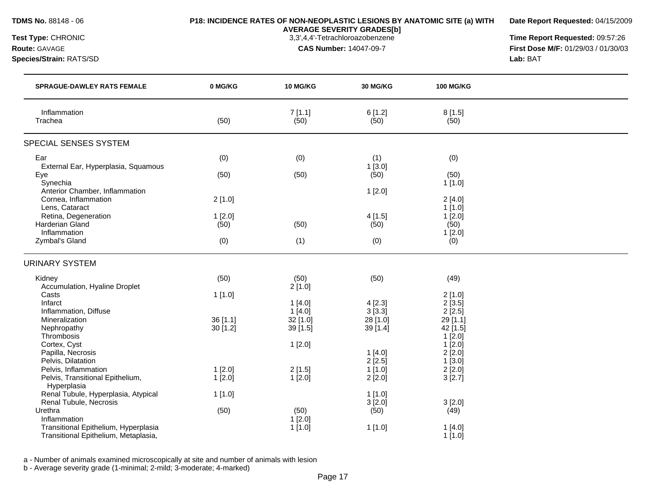### **TDMS No.** 88148 - 06 **P18: INCIDENCE RATES OF NON-NEOPLASTIC LESIONS BY ANATOMIC SITE (a) WITH AVERAGE SEVERITY GRADES[b]**

**Date Report Requested:** 04/15/2009

**Species/Strain:** RATS/SD **Lab:** BAT

**Test Type:** CHRONIC 3,3',4,4'-Tetrachloroazobenzene **Time Report Requested:** 09:57:26 **Route:** GAVAGE **CAS Number:** 14047-09-7 **First Dose M/F:** 01/29/03 / 01/30/03

| <b>SPRAGUE-DAWLEY RATS FEMALE</b>                                                            | 0 MG/KG               | 10 MG/KG            | 30 MG/KG                 | <b>100 MG/KG</b>                  |  |
|----------------------------------------------------------------------------------------------|-----------------------|---------------------|--------------------------|-----------------------------------|--|
| Inflammation<br>Trachea                                                                      | (50)                  | 7[1.1]<br>(50)      | 6[1.2]<br>(50)           | 8[1.5]<br>(50)                    |  |
| SPECIAL SENSES SYSTEM                                                                        |                       |                     |                          |                                   |  |
| Ear<br>External Ear, Hyperplasia, Squamous<br>Eye                                            | (0)<br>(50)           | (0)<br>(50)         | (1)<br>1[3.0]<br>(50)    | (0)<br>(50)                       |  |
| Synechia<br>Anterior Chamber, Inflammation<br>Cornea, Inflammation<br>Lens, Cataract         | 2[1.0]                |                     | 1[2.0]                   | 1[1.0]<br>2[4.0]<br>$1$ [1.0]     |  |
| Retina, Degeneration<br>Harderian Gland<br>Inflammation<br>Zymbal's Gland                    | 1[2.0]<br>(50)<br>(0) | (50)<br>(1)         | 4[1.5]<br>(50)<br>(0)    | 1[2.0]<br>(50)<br>1[2.0]<br>(0)   |  |
| <b>URINARY SYSTEM</b>                                                                        |                       |                     |                          |                                   |  |
| Kidney<br>Accumulation, Hyaline Droplet                                                      | (50)                  | (50)<br>2[1.0]      | (50)                     | (49)                              |  |
| Casts<br>Infarct<br>Inflammation, Diffuse                                                    | 1[1.0]                | 1[4.0]<br>1[4.0]    | 4[2.3]<br>3[3.3]         | 2[1.0]<br>2[3.5]<br>$2$ [ $2.5$ ] |  |
| Mineralization<br>Nephropathy<br>Thrombosis                                                  | 36 [1.1]<br>30 [1.2]  | 32 [1.0]<br>39[1.5] | 28 [1.0]<br>39 [1.4]     | 29 [1.1]<br>42 [1.5]<br>1[2.0]    |  |
| Cortex, Cyst<br>Papilla, Necrosis<br>Pelvis, Dilatation                                      |                       | 1[2.0]              | 1[4.0]<br>$2$ [2.5]      | 1[2.0]<br>2[2.0]<br>1[3.0]        |  |
| Pelvis, Inflammation<br>Pelvis, Transitional Epithelium,<br>Hyperplasia                      | 1[2.0]<br>1[2.0]      | 2[1.5]<br>1[2.0]    | 1[1.0]<br>2[2.0]         | 2[2.0]<br>3[2.7]                  |  |
| Renal Tubule, Hyperplasia, Atypical<br>Renal Tubule, Necrosis<br>Urethra                     | 1[1.0]<br>(50)        | (50)                | 1[1.0]<br>3[2.0]<br>(50) | 3[2.0]<br>(49)                    |  |
| Inflammation<br>Transitional Epithelium, Hyperplasia<br>Transitional Epithelium, Metaplasia, |                       | $1$ [2.0]<br>1[1.0] | 1[1.0]                   | 1[4.0]<br>1[1.0]                  |  |

a - Number of animals examined microscopically at site and number of animals with lesion